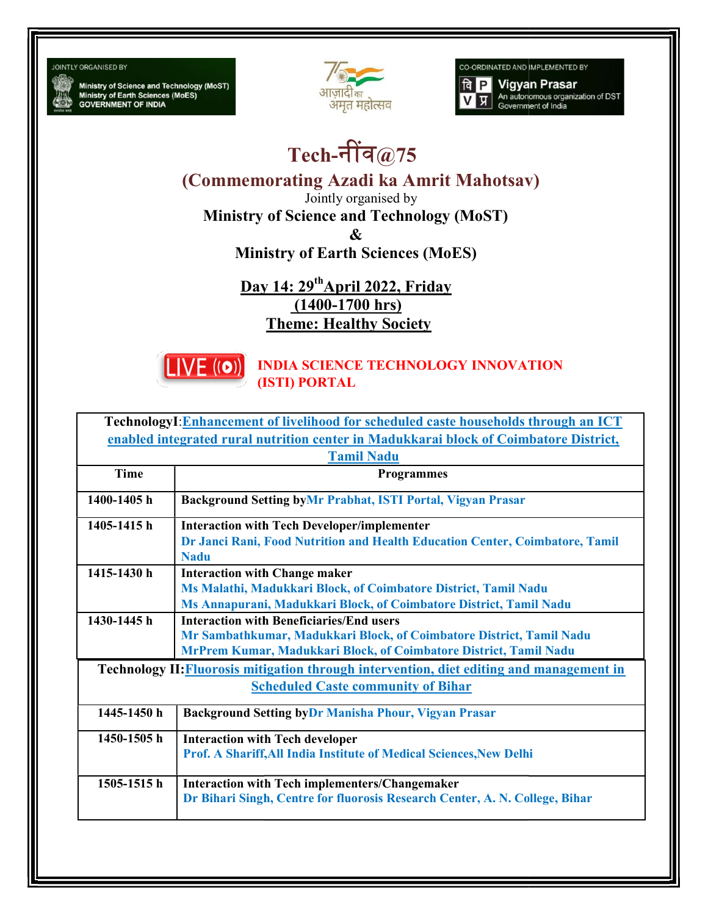## **JOINTLY ORGANISED BY**

Ministry of Science and Technology (MoST)<br>Ministry of Earth Sciences (MoES)<br>GOVERNMENT OF INDIA



CO-ORDINATED AND IMPLEMENTED BY



## Tech-नींव $@75$

(Commemorating Azadi ka Amrit Mahotsav)

Jointly organised by

Ministry of Science and Technology (MoST) Ministry of &

Ministry of Earth Sciences (MoES)

Ministry of Earth Sciences (Mol<br>Day 14: 29<sup>th</sup>April 2022, Friday (1400-1700 hrs) Theme: Healthy Society



INDIA SCIENCE TECHNOLOGY INNOVATION (ISTI) PORTAL

| TechnologyI: Enhancement of livelihood for scheduled caste households through an ICT     |                                                                              |  |
|------------------------------------------------------------------------------------------|------------------------------------------------------------------------------|--|
| enabled integrated rural nutrition center in Madukkarai block of Coimbatore District,    |                                                                              |  |
| <b>Tamil Nadu</b>                                                                        |                                                                              |  |
| <b>Time</b>                                                                              | <b>Programmes</b>                                                            |  |
| 1400-1405h                                                                               | <b>Background Setting byMr Prabhat, ISTI Portal, Vigyan Prasar</b>           |  |
| 1405-1415h                                                                               | <b>Interaction with Tech Developer/implementer</b>                           |  |
|                                                                                          | Dr Janci Rani, Food Nutrition and Health Education Center, Coimbatore, Tamil |  |
|                                                                                          | <b>Nadu</b>                                                                  |  |
| 1415-1430 h                                                                              | <b>Interaction with Change maker</b>                                         |  |
|                                                                                          | Ms Malathi, Madukkari Block, of Coimbatore District, Tamil Nadu              |  |
|                                                                                          | Ms Annapurani, Madukkari Block, of Coimbatore District, Tamil Nadu           |  |
| 1430-1445 h                                                                              | <b>Interaction with Beneficiaries/End users</b>                              |  |
|                                                                                          | Mr Sambathkumar, Madukkari Block, of Coimbatore District, Tamil Nadu         |  |
|                                                                                          | MrPrem Kumar, Madukkari Block, of Coimbatore District, Tamil Nadu            |  |
| Technology II: Fluorosis mitigation through intervention, diet editing and management in |                                                                              |  |
| <b>Scheduled Caste community of Bihar</b>                                                |                                                                              |  |
| $1445 - 1450$ h                                                                          | <b>Background Setting byDr Manisha Phour, Vigyan Prasar</b>                  |  |
| 1450-1505 h                                                                              | <b>Interaction with Tech developer</b>                                       |  |
|                                                                                          | Prof. A Shariff, All India Institute of Medical Sciences, New Delhi          |  |
| $1505 - 1515$ h                                                                          | Interaction with Tech implementers/Changemaker                               |  |
|                                                                                          | Dr Bihari Singh, Centre for fluorosis Research Center, A. N. College, Bihar  |  |